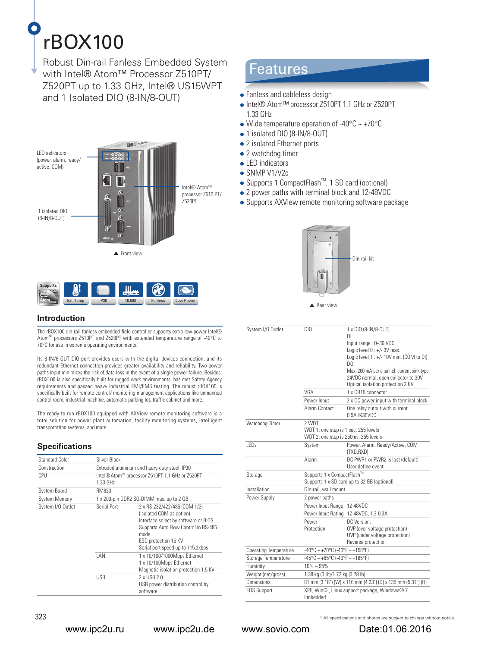# rBOX100

Robust Din-rail Fanless Embedded System with Intel® Atom™ Processor Z510PT/ Z520PT up to 1.33 GHz, Intel® US15WPT and 1 Isolated DIO (8-IN/8-OUT) • Fanless and cableless design





# **Introduction**

The rBOX100 din-rail fanless embedded field controller supports extra low power Intel® AtomTM processors Z510PT and Z520PT with extended temperature range of -40°C to 70°C for use in extreme operating environments.

Its 8-IN/8-OUT DIO port provides users with the digital devices connection, and its redundant Ethernet connection provides greater availability and reliability. Two power paths input minimizes the risk of data loss in the event of a single power failure. Besides, rBOX100 is also specifically built for rugged work environments, has met Safety Agency requirements and passed heavy industrial EMI/EMS testing. The robust rBOX100 is specifically built for remote control/ monitoring management applications like unmanned control room, industrial machine, automatic parking lot, traffic cabinet and more.

The ready-to-run rBOX100 equipped with AXView remote monitoring software is a total solution for power plant automation, facility monitoring systems, intelligent transportation systems, and more.

# **Specifications**

| Standard Color       | Sliver-Black                                 |                                                                                                                                                                                                                      |
|----------------------|----------------------------------------------|----------------------------------------------------------------------------------------------------------------------------------------------------------------------------------------------------------------------|
| Construction         | Extruded aluminum and heary-duty steel, IP30 |                                                                                                                                                                                                                      |
| CPU                  | 1.33 GHz                                     | Intel® Atom™ processor Z510PT 1.1 GHz or Z520PT                                                                                                                                                                      |
| <b>System Board</b>  | <b>RM820</b>                                 |                                                                                                                                                                                                                      |
| <b>System Memory</b> |                                              | 1 x 200-pin DDR2 SO-DIMM max. up to 2 GB                                                                                                                                                                             |
| System I/O Outlet    | Serial Port                                  | 2 x RS-232/422/485 (COM 1/2)<br>(isolated COM as option)<br>Interface select by software or BIOS<br>Supports Auto Flow Control in RS-485<br>mode<br><b>ESD protection 15 KV</b><br>Serial port speed up to 115.2kbps |
|                      | I AN                                         | 1 x 10/100/1000Mbps Ethernet<br>1 x 10/100Mbps Ethernet<br>Magnetic isolation protection 1.5 KV                                                                                                                      |
|                      | <b>USB</b>                                   | 2 x USB 2.0<br>USB power distribution control by<br>software                                                                                                                                                         |

# Features

- 
- Intel® Atom™ processor Z510PT 1.1 GHz or Z520PT 1.33 GHz
- Wide temperature operation of -40 $\degree$ C ~ +70 $\degree$ C
- 1 isolated DIO (8-IN/8-OUT)
- 2 isolated Ethernet ports
- 2 watchdog timer
- LED indicators
- SNMP V1/V2c
- $\bullet$  Supports 1 CompactFlash<sup>TM</sup>, 1 SD card (optional)
- 2 power paths with terminal block and 12-48VDC
- Supports AXView remote monitoring software package



System I/O Outlet DIO 1 x DIO (8-IN/8-OUT) DI: Input range : 0~30 VDC Logic level 0 : +/- 3V max. Logic level 1 : +/- 10V min. (COM to DI) DO: Max. 200 mA per channel, current sink type 24VDC normal, open collector to 30V Optical isolation protection 2 KV VGA 1 x DB15 connector Power Input 2 x DC power input with terminal block Alarm Contact One relay output with current 0.5A @30VDC Watchdog Timer 2 WDT WDT 1: one step is 1 sec, 255 levels WDT 2: one step is 250ms, 255 levels LEDs System Power, Alarm, Ready/Active, COM (TXD,RXD) Alarm DC PWR1 or PWR2 is lost (default) User define event Storage Supports 1 x CompactFlashT Supports 1 x SD card up to 32 GB (optional) Installation Din-rail, wall mount Power Supply 2 power paths Power Input Range 12-48VDC Power Input Rating 12-48VDC, 1.3-0.3A Power Protection DC Version: OVP (over voltage protection) UVP (under voltage protection) Reverse protection Operating Temperature  $-40\degree C \sim +70\degree C$  (-40°F ~ +158°F) Storage Temperature -45°C ~ +85°C (-49°F ~ +185°F) Humidity  $10\% \approx 95\%$ Weight (net/gross) 1.38 kg (3 lb)/1.72 kg (3.78 lb) Dimensions 81 mm (3.18") (W) x 110 mm (4.33") (D) x 135 mm (5.31") (H) EOS Support XPE, WinCE, Linux support package, Windows® 7 Embedded

www.ipc2u.ru www.ipc2u.de www.sovio.com Date:01.06.2016

 $323$   $^*$  All specifications and photos are subject to change without notice.